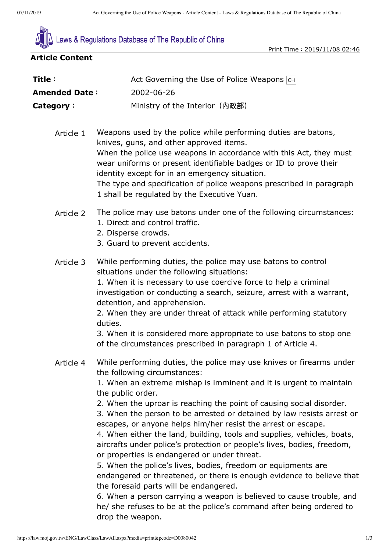

he/ she refuses to be at the police's command after being ordered to

drop the weapon.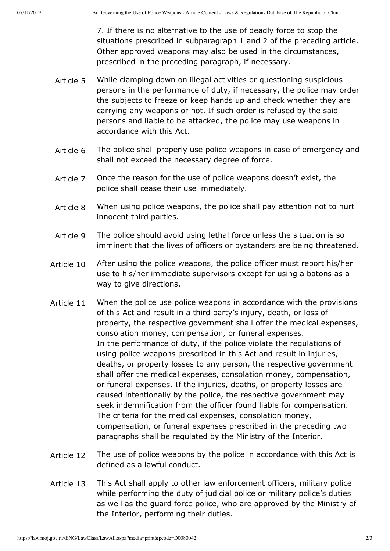7. If there is no alternative to the use of deadly force to stop the situations prescribed in subparagraph 1 and 2 of the preceding article. Other approved weapons may also be used in the circumstances, prescribed in the preceding paragraph, if necessary.

- Article 5 While clamping down on illegal activities or questioning suspicious persons in the performance of duty, if necessary, the police may order the subjects to freeze or keep hands up and check whether they are carrying any weapons or not. If such order is refused by the said persons and liable to be attacked, the police may use weapons in accordance with this Act.
- Article 6 The police shall properly use police weapons in case of emergency and shall not exceed the necessary degree of force.
- Article 7 Once the reason for the use of police weapons doesn't exist, the police shall cease their use immediately.
- Article 8 When using police weapons, the police shall pay attention not to hurt innocent third parties.
- Article 9 The police should avoid using lethal force unless the situation is so imminent that the lives of officers or bystanders are being threatened.
- Article 10 After using the police weapons, the police officer must report his/her use to his/her immediate supervisors except for using a batons as a way to give directions.
- Article 11 When the police use police weapons in accordance with the provisions of this Act and result in a third party's injury, death, or loss of property, the respective government shall offer the medical expenses, consolation money, compensation, or funeral expenses. In the performance of duty, if the police violate the regulations of using police weapons prescribed in this Act and result in injuries, deaths, or property losses to any person, the respective government shall offer the medical expenses, consolation money, compensation, or funeral expenses. If the injuries, deaths, or property losses are caused intentionally by the police, the respective government may seek indemnification from the officer found liable for compensation. The criteria for the medical expenses, consolation money, compensation, or funeral expenses prescribed in the preceding two paragraphs shall be regulated by the Ministry of the Interior.
- Article 12 The use of police weapons by the police in accordance with this Act is defined as a lawful conduct.
- Article 13 This Act shall apply to other law enforcement officers, military police while performing the duty of judicial police or military police's duties as well as the guard force police, who are approved by the Ministry of the Interior, performing their duties.